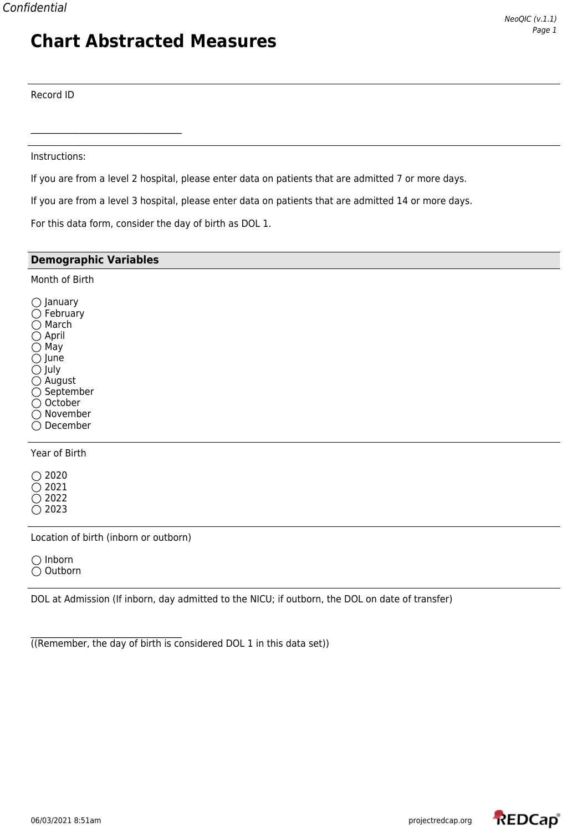#### Record ID

Instructions:

 $\mathcal{L}_\text{max}$  , where  $\mathcal{L}_\text{max}$  and  $\mathcal{L}_\text{max}$  and  $\mathcal{L}_\text{max}$ 

If you are from a level 2 hospital, please enter data on patients that are admitted 7 or more days.

If you are from a level 3 hospital, please enter data on patients that are admitted 14 or more days.

For this data form, consider the day of birth as DOL 1.

| <b>Demographic Variables</b>                                                                                                                                                                                                    |
|---------------------------------------------------------------------------------------------------------------------------------------------------------------------------------------------------------------------------------|
| Month of Birth                                                                                                                                                                                                                  |
| $\bigcirc$ January<br>$\bigcirc$ February<br>$\bigcirc$ March<br>$\bigcirc$ April<br>$\bigcirc$ May<br>$\bigcirc$ June<br>$\bigcirc$ July<br>$\bigcirc$ August<br>$\bigcirc$ September<br>○ October<br>○ November<br>◯ December |
|                                                                                                                                                                                                                                 |

Year of Birth

 $\bigcirc$  2020  $\overline{O}$  2021  $\bigcirc$  2022  $\bigcirc$  2023

Location of birth (inborn or outborn)

 $\bigcirc$  Inborn Outborn

DOL at Admission (If inborn, day admitted to the NICU; if outborn, the DOL on date of transfer)

((Remember, the day of birth is considered DOL 1 in this data set))

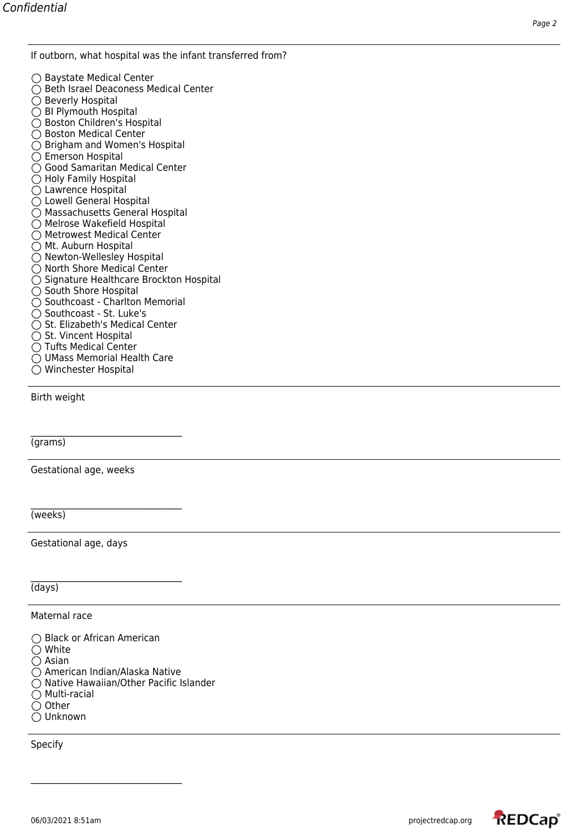If outborn, what hospital was the infant transferred from?

- $\bigcap$  Baystate Medical Center  $\bigcirc$  Beth Israel Deaconess Medical Center  $\overline{O}$  Beverly Hospital ○ BI Plymouth Hospital ○ Boston Children's Hospital ○ Boston Medical Center ◯ Brigham and Women's Hospital  $\bigcirc$  Emerson Hospital ○ Good Samaritan Medical Center  $\bigcirc$  Holy Family Hospital Lawrence Hospital Lowell General Hospital ○ Massachusetts General Hospital ○ Melrose Wakefield Hospital ◯ Metrowest Medical Center  $\bigcap$  Mt. Auburn Hospital ○ Newton-Wellesley Hospital  $\bigcirc$  North Shore Medical Center ○ Signature Healthcare Brockton Hospital  $\bigcirc$  South Shore Hospital  $\bigcap$  Southcoast - Charlton Memorial  $\bigcirc$  Southcoast - St. Luke's  $\bigcirc$  St. Elizabeth's Medical Center  $\bigcirc$  St. Vincent Hospital ◯ Tufts Medical Center
- UMass Memorial Health Care
- Winchester Hospital

Birth weight

(grams)

Gestational age, weeks

 $\mathcal{L}_\text{max}$  , where  $\mathcal{L}_\text{max}$  and  $\mathcal{L}_\text{max}$  and  $\mathcal{L}_\text{max}$ 

 $\mathcal{L}_\text{max}$  , where  $\mathcal{L}_\text{max}$  and  $\mathcal{L}_\text{max}$  and  $\mathcal{L}_\text{max}$ 

(weeks)

Gestational age, days

(days)

Maternal race

○ Black or African American White  $\overline{O}$  Asian American Indian/Alaska Native  $\bigcirc$  Native Hawaiian/Other Pacific Islander  $\bigcap$  Multi-racial  $\bigcirc$  Other Unknown

 $\mathcal{L}_\text{max}$  , where  $\mathcal{L}_\text{max}$  and  $\mathcal{L}_\text{max}$  and  $\mathcal{L}_\text{max}$ 

Specify

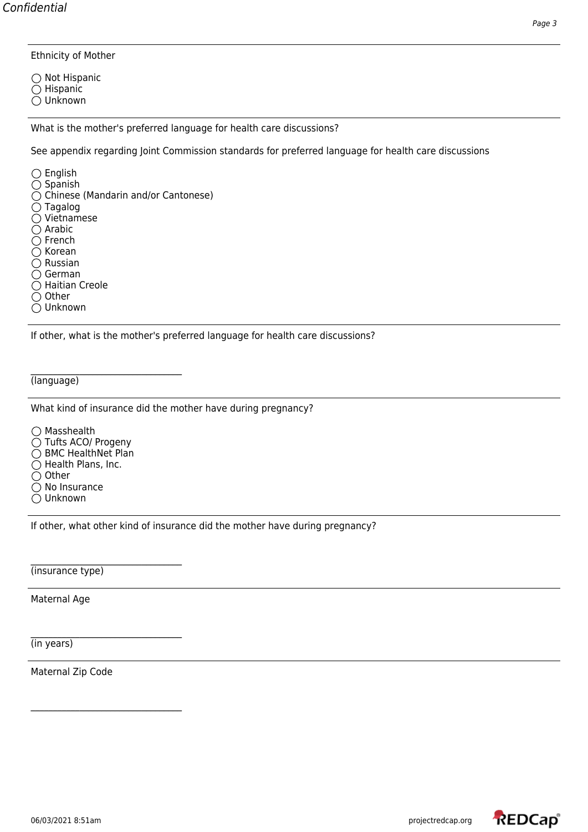Ethnicity of Mother

 $\bigcap$  Not Hispanic  $\bigcirc$  Hispanic  $\bigcirc$  Unknown

What is the mother's preferred language for health care discussions?

See appendix regarding Joint Commission standards for preferred language for health care discussions

 $\bigcirc$  English  $\bigcirc$  Spanish ◯ Chinese (Mandarin and/or Cantonese)  $\bigcirc$  Tagalog  $\overline{O}$  Vietnamese  $\bigcirc$  Arabic  $\bigcirc$  French  $\bigcirc$  Korean  $\bigcirc$  Russian  $\bigcirc$  German  $\bigcirc$  Haitian Creole  $\bigcirc$  Other

Unknown

If other, what is the mother's preferred language for health care discussions?

(language)

What kind of insurance did the mother have during pregnancy?

◯ Masshealth ◯ Tufts ACO/ Progeny ◯ BMC HealthNet Plan  $\bigcirc$  Health Plans, Inc.  $\bigcirc$  Other  $\bigcirc$  No Insurance Unknown

 $\mathcal{L}_\text{max}$  , where  $\mathcal{L}_\text{max}$  and  $\mathcal{L}_\text{max}$  and  $\mathcal{L}_\text{max}$ 

 $\mathcal{L}_\text{max}$  , where  $\mathcal{L}_\text{max}$  and  $\mathcal{L}_\text{max}$  and  $\mathcal{L}_\text{max}$ 

 $\mathcal{L}_\text{max}$  , where  $\mathcal{L}_\text{max}$  and  $\mathcal{L}_\text{max}$  and  $\mathcal{L}_\text{max}$ 

If other, what other kind of insurance did the mother have during pregnancy?

(insurance type)

Maternal Age

(in years)

Maternal Zip Code

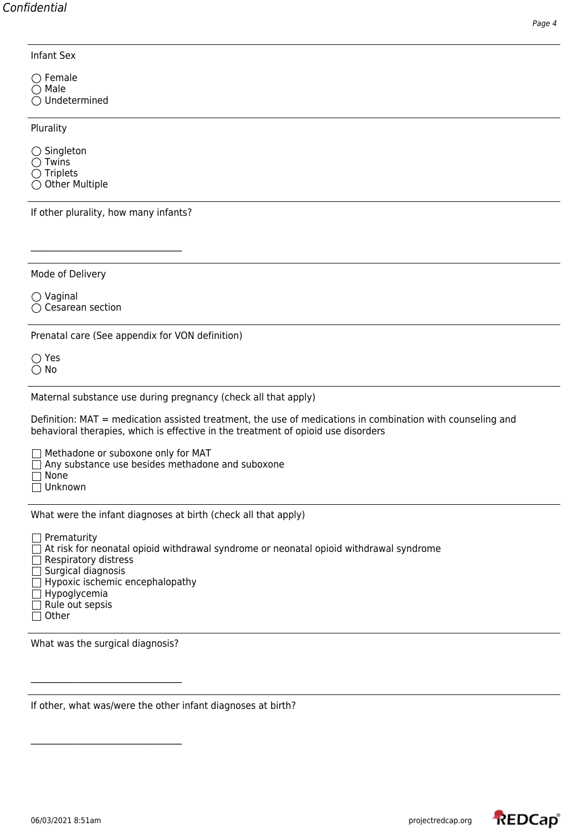Infant Sex

 $\bigcap$  Female  $\bigcap$  Male  $\bigcirc$  Undetermined

Plurality

 $\bigcirc$  Singleton

 $\bigcirc$  Twins  $\bigcirc$  Triplets

 $\bigcirc$  Other Multiple

If other plurality, how many infants?

 $\mathcal{L}_\text{max}$  , where  $\mathcal{L}_\text{max}$  and  $\mathcal{L}_\text{max}$  and  $\mathcal{L}_\text{max}$ 

Mode of Delivery

 $\bigcirc$  Vaginal  $\bigcirc$  Cesarean section

Prenatal care (See appendix for VON definition)

Yes  $\bigcirc$  No

Maternal substance use during pregnancy (check all that apply)

Definition: MAT = medication assisted treatment, the use of medications in combination with counseling and behavioral therapies, which is effective in the treatment of opioid use disorders

 $\Box$  Methadone or suboxone only for MAT

 $\Box$  Any substance use besides methadone and suboxone

 $\Box$  None

Unknown

What were the infant diagnoses at birth (check all that apply)

 $\Box$  Prematurity

 $\Box$  At risk for neonatal opioid withdrawal syndrome or neonatal opioid withdrawal syndrome

 $\Box$  Respiratory distress

- $\Box$  Surgical diagnosis
- $\Box$  Hypoxic ischemic encephalopathy
- $\Box$  Hypoglycemia
- $\Box$  Rule out sepsis
- $\Box$  Other

What was the surgical diagnosis?

 $\mathcal{L}_\text{max}$  , where  $\mathcal{L}_\text{max}$  and  $\mathcal{L}_\text{max}$  and  $\mathcal{L}_\text{max}$ 

 $\mathcal{L}_\text{max}$ 

If other, what was/were the other infant diagnoses at birth?

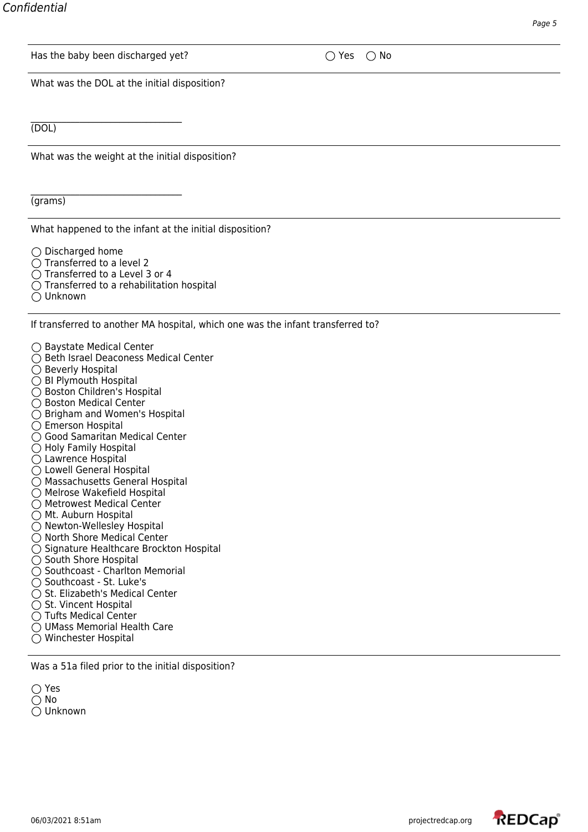| Has the baby been discharged yet?               | $\bigcirc$ No<br>Yes<br>$\rightarrow$ |  |
|-------------------------------------------------|---------------------------------------|--|
| What was the DOL at the initial disposition?    |                                       |  |
|                                                 |                                       |  |
| (DOL)                                           |                                       |  |
| What was the weight at the initial disposition? |                                       |  |
|                                                 |                                       |  |
| (grams)                                         |                                       |  |

What happened to the infant at the initial disposition?

 $\bigcirc$  Discharged home

- $\bigcirc$  Transferred to a level 2
- $\bigcirc$  Transferred to a Level 3 or 4
- $\bigcirc$  Transferred to a rehabilitation hospital
- Unknown

If transferred to another MA hospital, which one was the infant transferred to?

- Baystate Medical Center
- Beth Israel Deaconess Medical Center
- Beverly Hospital
- ◯ BI Plymouth Hospital
- Boston Children's Hospital
- Boston Medical Center
- Brigham and Women's Hospital
- Emerson Hospital
- Good Samaritan Medical Center
- $\bigcirc$  Holy Family Hospital
- ◯ Lawrence Hospital
- Lowell General Hospital
- Massachusetts General Hospital
- Melrose Wakefield Hospital
- Metrowest Medical Center
- ◯ Mt. Auburn Hospital
- $\bigcirc$  Newton-Wellesley Hospital
- ◯ North Shore Medical Center
- $\bigcirc$  Signature Healthcare Brockton Hospital
- $\bigcirc$  South Shore Hospital
- $\bigcirc$  Southcoast Charlton Memorial
- Southcoast St. Luke's
- $\bigcirc$  St. Elizabeth's Medical Center
- $\bigcirc$  St. Vincent Hospital
- $\bigcap$  Tufts Medical Center
- UMass Memorial Health Care
- Winchester Hospital

Was a 51a filed prior to the initial disposition?

◯ Yes No Unknown

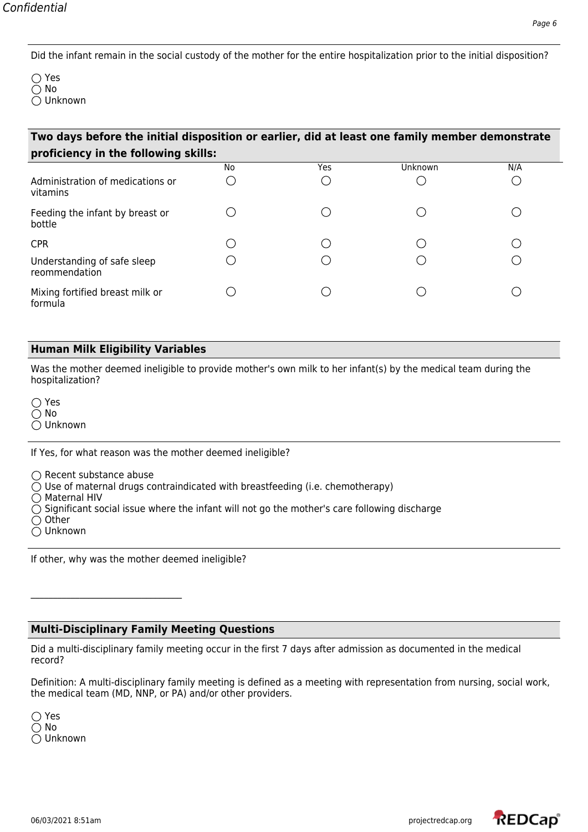◯ Yes  $\bigcap$  No Unknown

| Two days before the initial disposition or earlier, did at least one family member demonstrate |    |     |         |     |  |  |  |
|------------------------------------------------------------------------------------------------|----|-----|---------|-----|--|--|--|
| proficiency in the following skills:                                                           |    |     |         |     |  |  |  |
|                                                                                                | No | Yes | Unknown | N/A |  |  |  |
| Administration of medications or<br>vitamins                                                   |    |     |         |     |  |  |  |
| Feeding the infant by breast or<br>bottle                                                      |    |     |         |     |  |  |  |
| <b>CPR</b>                                                                                     |    |     |         |     |  |  |  |
| Understanding of safe sleep<br>reommendation                                                   |    |     |         |     |  |  |  |
| Mixing fortified breast milk or<br>formula                                                     |    |     |         |     |  |  |  |

#### **Human Milk Eligibility Variables**

Was the mother deemed ineligible to provide mother's own milk to her infant(s) by the medical team during the hospitalization?

Yes No Unknown

If Yes, for what reason was the mother deemed ineligible?

 $\bigcap$  Recent substance abuse

 $\mathcal{L}_\text{max}$  , where  $\mathcal{L}_\text{max}$  and  $\mathcal{L}_\text{max}$  and  $\mathcal{L}_\text{max}$ 

 $\bigcirc$  Use of maternal drugs contraindicated with breastfeeding (i.e. chemotherapy)

 $\bigcirc$  Maternal HIV

 $\bigcirc$  Significant social issue where the infant will not go the mother's care following discharge

 $\bigcirc$  Other

Unknown

If other, why was the mother deemed ineligible?

## **Multi-Disciplinary Family Meeting Questions**

Did a multi-disciplinary family meeting occur in the first 7 days after admission as documented in the medical record?

Definition: A multi-disciplinary family meeting is defined as a meeting with representation from nursing, social work, the medical team (MD, NNP, or PA) and/or other providers.

Yes  $\bigcirc$  No Unknown

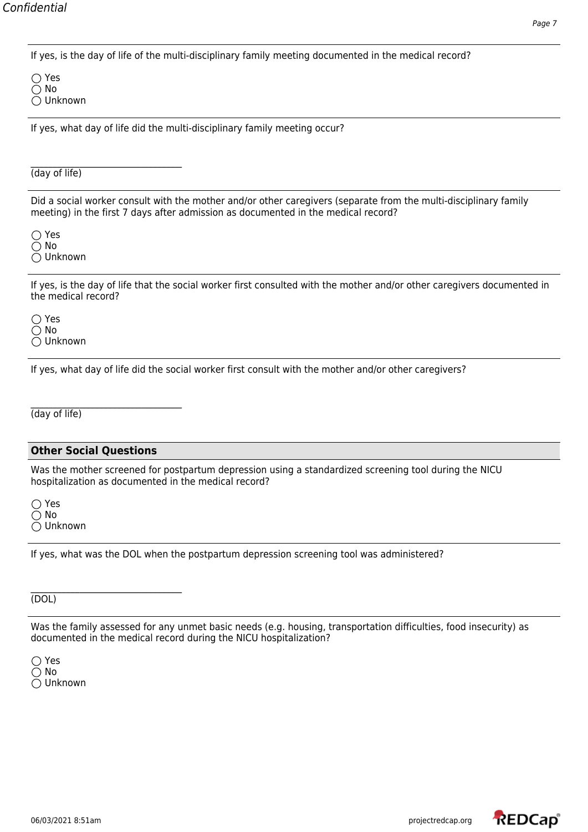If yes, is the day of life of the multi-disciplinary family meeting documented in the medical record?

◯ Yes  $\bigcap$  No Unknown

If yes, what day of life did the multi-disciplinary family meeting occur?

(day of life)

Did a social worker consult with the mother and/or other caregivers (separate from the multi-disciplinary family meeting) in the first 7 days after admission as documented in the medical record?

◯ Yes  $\bigcirc$  No Unknown

If yes, is the day of life that the social worker first consulted with the mother and/or other caregivers documented in the medical record?

Yes No Unknown

If yes, what day of life did the social worker first consult with the mother and/or other caregivers?

(day of life)

## **Other Social Questions**

Was the mother screened for postpartum depression using a standardized screening tool during the NICU hospitalization as documented in the medical record?

◯ Yes No Unknown

If yes, what was the DOL when the postpartum depression screening tool was administered?

 $\mathcal{L}_\text{max}$  , where  $\mathcal{L}_\text{max}$  and  $\mathcal{L}_\text{max}$  and  $\mathcal{L}_\text{max}$ (DOL)

Was the family assessed for any unmet basic needs (e.g. housing, transportation difficulties, food insecurity) as documented in the medical record during the NICU hospitalization?

Yes  $\bigcirc$  No Unknown